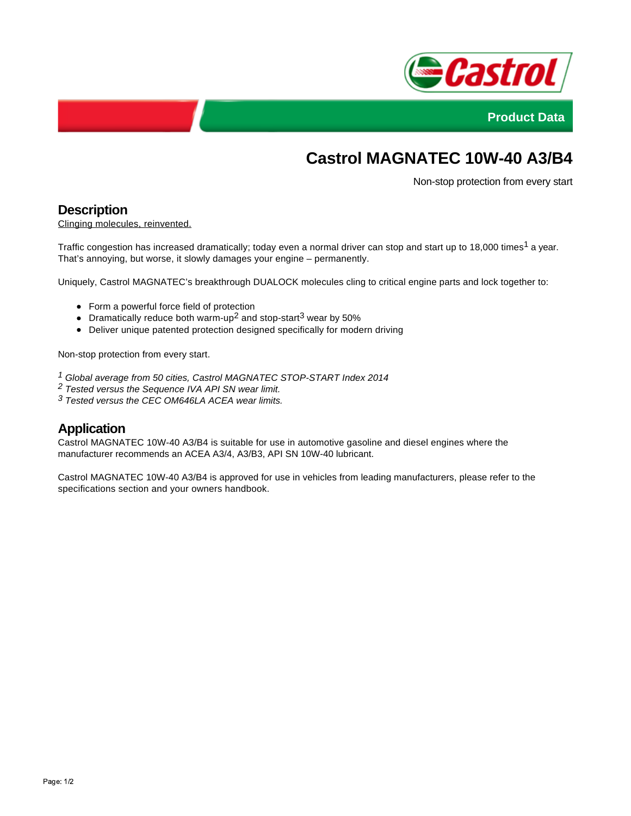



# **Castrol MAGNATEC 10W-40 A3/B4**

Non-stop protection from every start

### **Description**

Clinging molecules, reinvented.

Traffic congestion has increased dramatically; today even a normal driver can stop and start up to 18,000 times<sup>1</sup> a year. That's annoying, but worse, it slowly damages your engine – permanently.

Uniquely, Castrol MAGNATEC's breakthrough DUALOCK molecules cling to critical engine parts and lock together to:

- Form a powerful force field of protection
- Dramatically reduce both warm-up<sup>2</sup> and stop-start<sup>3</sup> wear by 50%
- Deliver unique patented protection designed specifically for modern driving

Non-stop protection from every start.

- 1 Global average from 50 cities, Castrol MAGNATEC STOP-START Index 2014
- 2 Tested versus the Sequence IVA API SN wear limit.
- $3$  Tested versus the CEC OM646LA ACEA wear limits.

## **Application**

Castrol MAGNATEC 10W-40 A3/B4 is suitable for use in automotive gasoline and diesel engines where the manufacturer recommends an ACEA A3/4, A3/B3, API SN 10W-40 lubricant.

Castrol MAGNATEC 10W-40 A3/B4 is approved for use in vehicles from leading manufacturers, please refer to the specifications section and your owners handbook.